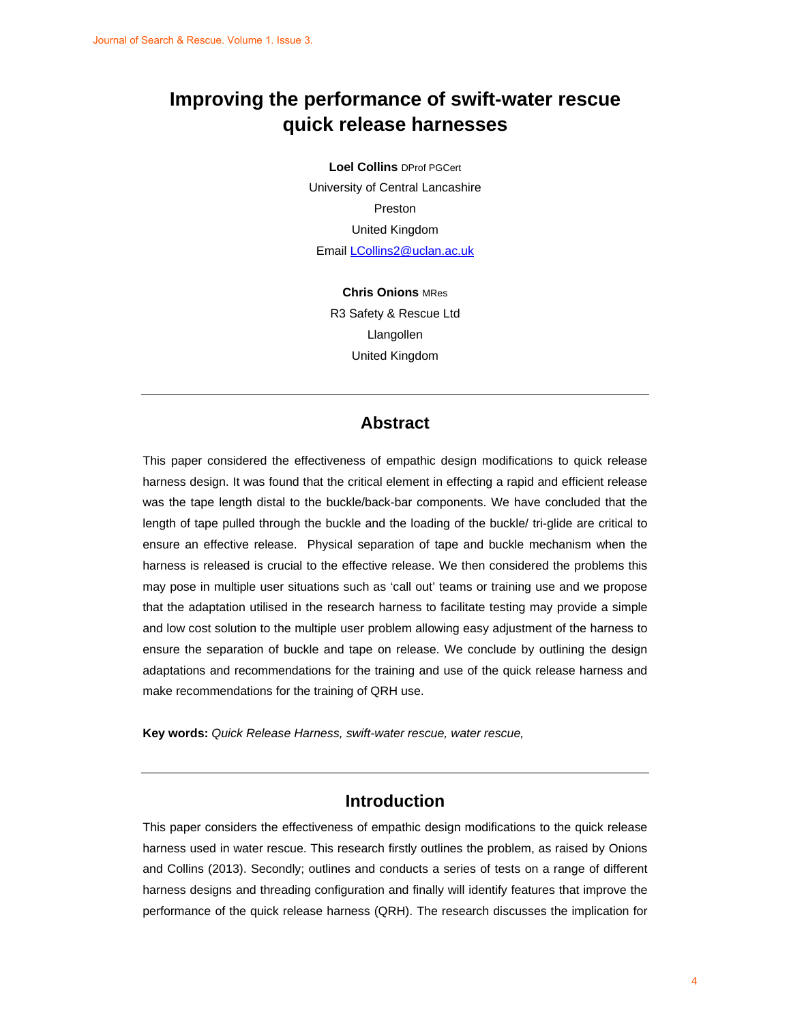# **Improving the performance of swift-water rescue quick release harnesses**

**Loel Collins** DProf PGCert University of Central Lancashire Preston United Kingdom Email LCollins2@uclan.ac.uk

> **Chris Onions** MRes R3 Safety & Rescue Ltd Llangollen United Kingdom

### **Abstract**

This paper considered the effectiveness of empathic design modifications to quick release harness design. It was found that the critical element in effecting a rapid and efficient release was the tape length distal to the buckle/back-bar components. We have concluded that the length of tape pulled through the buckle and the loading of the buckle/ tri-glide are critical to ensure an effective release. Physical separation of tape and buckle mechanism when the harness is released is crucial to the effective release. We then considered the problems this may pose in multiple user situations such as 'call out' teams or training use and we propose that the adaptation utilised in the research harness to facilitate testing may provide a simple and low cost solution to the multiple user problem allowing easy adjustment of the harness to ensure the separation of buckle and tape on release. We conclude by outlining the design adaptations and recommendations for the training and use of the quick release harness and make recommendations for the training of QRH use. Journal of Search & Revenue 1. Image 3.<br>
Improving the performance of swift-water rescue<br>
quick release harmseses<br>
Lead Collins are consistent<br>
University of Committenesistics<br>
University of Committenesistics<br>
Consistence<br>

**Key words:** *Quick Release Harness, swift-water rescue, water rescue,* 

# **Introduction**

This paper considers the effectiveness of empathic design modifications to the quick release harness used in water rescue. This research firstly outlines the problem, as raised by Onions and Collins (2013). Secondly; outlines and conducts a series of tests on a range of different harness designs and threading configuration and finally will identify features that improve the performance of the quick release harness (QRH). The research discusses the implication for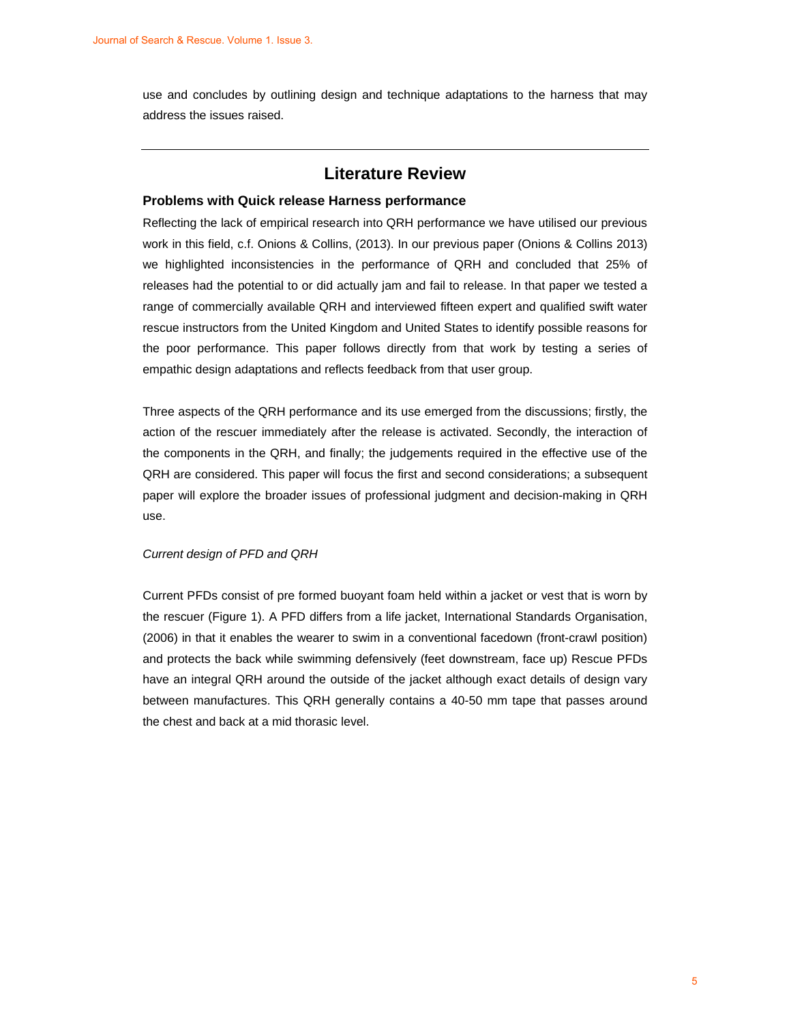use and concludes by outlining design and technique adaptations to the harness that may address the issues raised.

# **Literature Review**

#### **Problems with Quick release Harness performance**

Reflecting the lack of empirical research into QRH performance we have utilised our previous work in this field, c.f. Onions & Collins, (2013). In our previous paper (Onions & Collins 2013) we highlighted inconsistencies in the performance of QRH and concluded that 25% of releases had the potential to or did actually jam and fail to release. In that paper we tested a range of commercially available QRH and interviewed fifteen expert and qualified swift water rescue instructors from the United Kingdom and United States to identify possible reasons for the poor performance. This paper follows directly from that work by testing a series of empathic design adaptations and reflects feedback from that user group. Journal of Search & Research Marketters 2<br>
Little and conduction by analising design and technique soluptiones to the humees that may<br>
soldens the issues raised.<br>
<br> **Problems with Quick release hareness performances**<br> **Pro** 

Three aspects of the QRH performance and its use emerged from the discussions; firstly, the action of the rescuer immediately after the release is activated. Secondly, the interaction of the components in the QRH, and finally; the judgements required in the effective use of the QRH are considered. This paper will focus the first and second considerations; a subsequent paper will explore the broader issues of professional judgment and decision-making in QRH use.

#### *Current design of PFD and QRH*

Current PFDs consist of pre formed buoyant foam held within a jacket or vest that is worn by the rescuer (Figure 1). A PFD differs from a life jacket, International Standards Organisation, (2006) in that it enables the wearer to swim in a conventional facedown (front-crawl position) and protects the back while swimming defensively (feet downstream, face up) Rescue PFDs have an integral QRH around the outside of the jacket although exact details of design vary between manufactures. This QRH generally contains a 40-50 mm tape that passes around the chest and back at a mid thorasic level.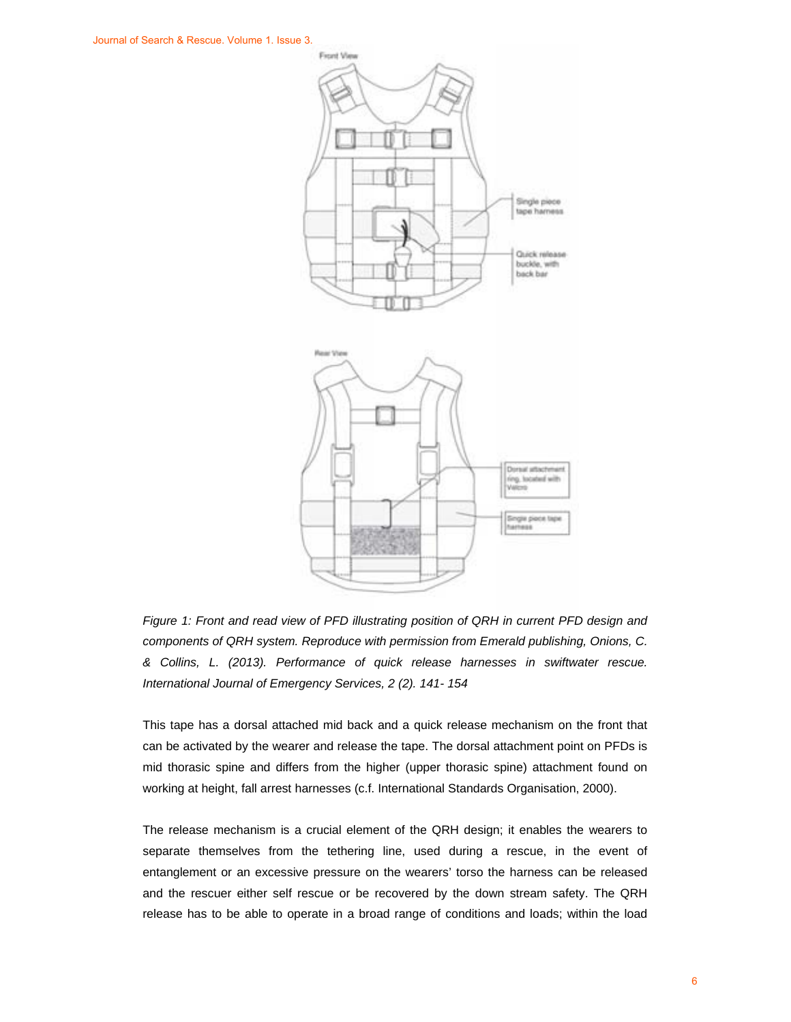

*Figure 1: Front and read view of PFD illustrating position of QRH in current PFD design and components of QRH system. Reproduce with permission from Emerald publishing, Onions, C. & Collins, L. (2013). Performance of quick release harnesses in swiftwater rescue. International Journal of Emergency Services, 2 (2). 141- 154* 

This tape has a dorsal attached mid back and a quick release mechanism on the front that can be activated by the wearer and release the tape. The dorsal attachment point on PFDs is mid thorasic spine and differs from the higher (upper thorasic spine) attachment found on working at height, fall arrest harnesses (c.f. International Standards Organisation, 2000).

The release mechanism is a crucial element of the QRH design; it enables the wearers to separate themselves from the tethering line, used during a rescue, in the event of entanglement or an excessive pressure on the wearers' torso the harness can be released and the rescuer either self rescue or be recovered by the down stream safety. The QRH release has to be able to operate in a broad range of conditions and loads; within the load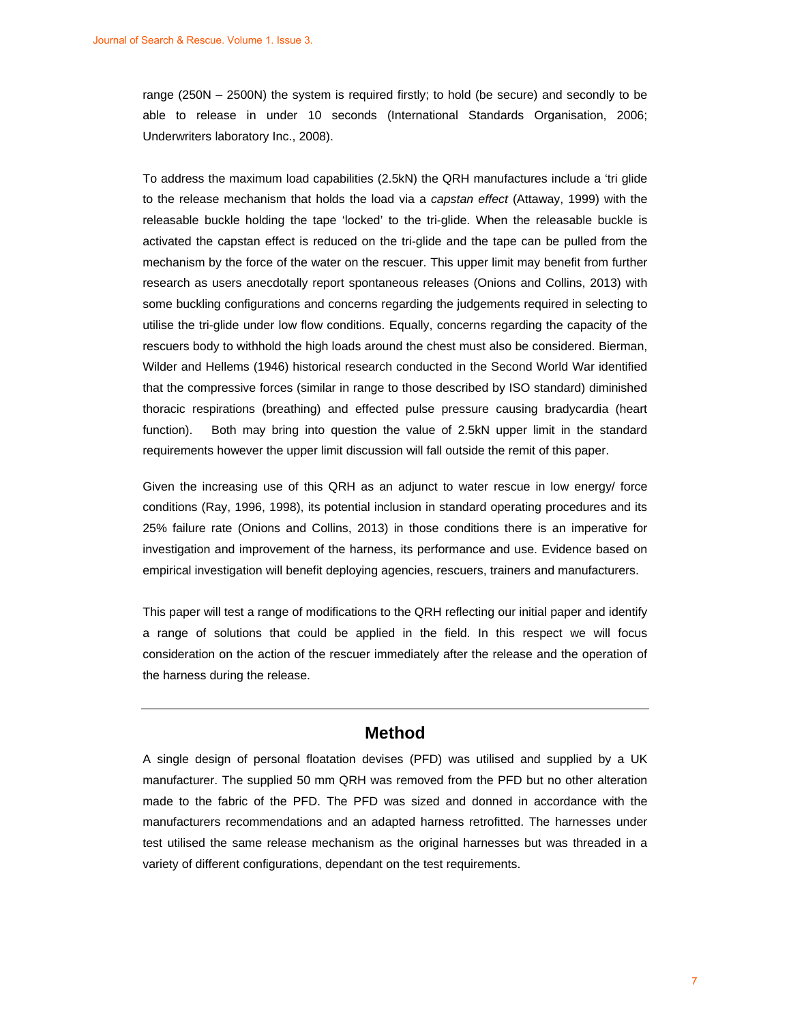range (250N – 2500N) the system is required firstly; to hold (be secure) and secondly to be able to release in under 10 seconds (International Standards Organisation, 2006; Underwriters laboratory Inc., 2008).

To address the maximum load capabilities (2.5kN) the QRH manufactures include a 'tri glide to the release mechanism that holds the load via a *capstan effect* (Attaway, 1999) with the releasable buckle holding the tape 'locked' to the tri-glide. When the releasable buckle is activated the capstan effect is reduced on the tri-glide and the tape can be pulled from the mechanism by the force of the water on the rescuer. This upper limit may benefit from further research as users anecdotally report spontaneous releases (Onions and Collins, 2013) with some buckling configurations and concerns regarding the judgements required in selecting to utilise the tri-glide under low flow conditions. Equally, concerns regarding the capacity of the rescuers body to withhold the high loads around the chest must also be considered. Bierman, Wilder and Hellems (1946) historical research conducted in the Second World War identified that the compressive forces (similar in range to those described by ISO standard) diminished thoracic respirations (breathing) and effected pulse pressure causing bradycardia (heart function). Both may bring into question the value of 2.5kN upper limit in the standard requirements however the upper limit discussion will fall outside the remit of this paper. Journal of Search & Rescue. Volume 1. Issue 3.<br>
straige (2600), 4 2600 Nigoten European is required fillerly to hold (be secure) and secondly to be<br>
dak. to reform a control of Search (terms that allows the system and seco

Given the increasing use of this QRH as an adjunct to water rescue in low energy/ force conditions (Ray, 1996, 1998), its potential inclusion in standard operating procedures and its 25% failure rate (Onions and Collins, 2013) in those conditions there is an imperative for investigation and improvement of the harness, its performance and use. Evidence based on empirical investigation will benefit deploying agencies, rescuers, trainers and manufacturers.

This paper will test a range of modifications to the QRH reflecting our initial paper and identify a range of solutions that could be applied in the field. In this respect we will focus consideration on the action of the rescuer immediately after the release and the operation of the harness during the release.

### **Method**

A single design of personal floatation devises (PFD) was utilised and supplied by a UK manufacturer. The supplied 50 mm QRH was removed from the PFD but no other alteration made to the fabric of the PFD. The PFD was sized and donned in accordance with the manufacturers recommendations and an adapted harness retrofitted. The harnesses under test utilised the same release mechanism as the original harnesses but was threaded in a variety of different configurations, dependant on the test requirements.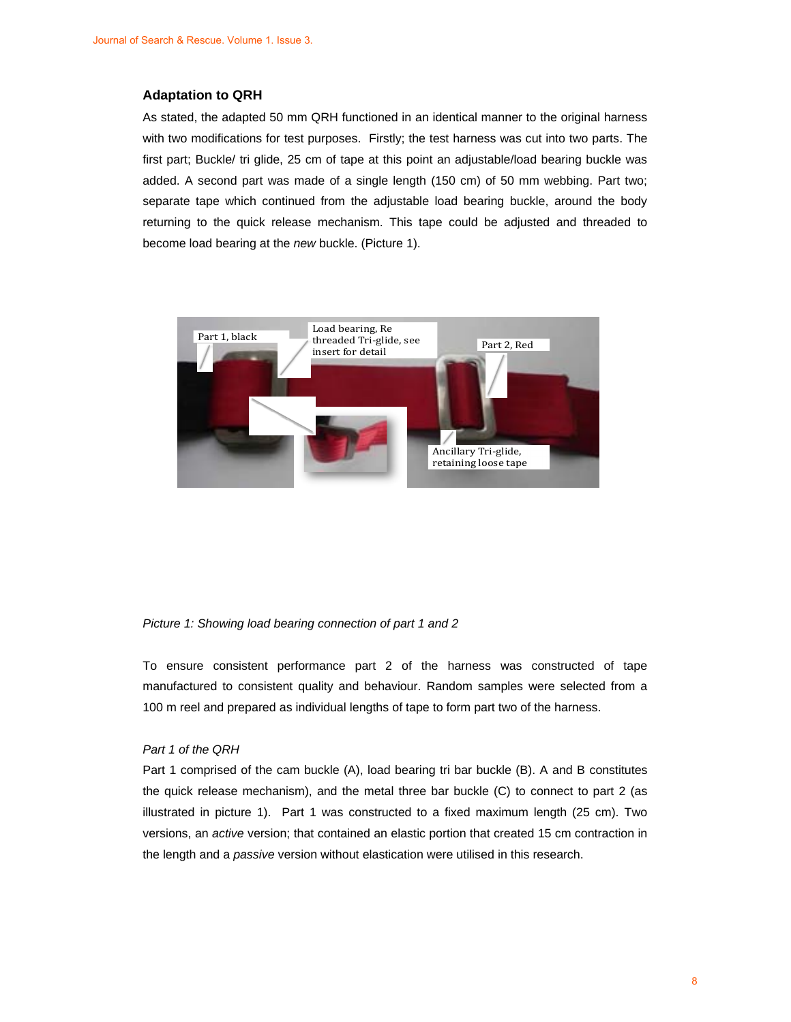#### **Adaptation to QRH**

As stated, the adapted 50 mm QRH functioned in an identical manner to the original harness with two modifications for test purposes. Firstly; the test harness was cut into two parts. The first part; Buckle/ tri glide, 25 cm of tape at this point an adjustable/load bearing buckle was added. A second part was made of a single length (150 cm) of 50 mm webbing. Part two; separate tape which continued from the adjustable load bearing buckle, around the body returning to the quick release mechanism. This tape could be adjusted and threaded to become load bearing at the *new* buckle. (Picture 1).



#### *Picture 1: Showing load bearing connection of part 1 and 2*

To ensure consistent performance part 2 of the harness was constructed of tape manufactured to consistent quality and behaviour. Random samples were selected from a 100 m reel and prepared as individual lengths of tape to form part two of the harness.

#### *Part 1 of the QRH*

Part 1 comprised of the cam buckle (A), load bearing tri bar buckle (B). A and B constitutes the quick release mechanism), and the metal three bar buckle (C) to connect to part 2 (as illustrated in picture 1). Part 1 was constructed to a fixed maximum length (25 cm). Two versions, an *active* version; that contained an elastic portion that created 15 cm contraction in the length and a *passive* version without elastication were utilised in this research.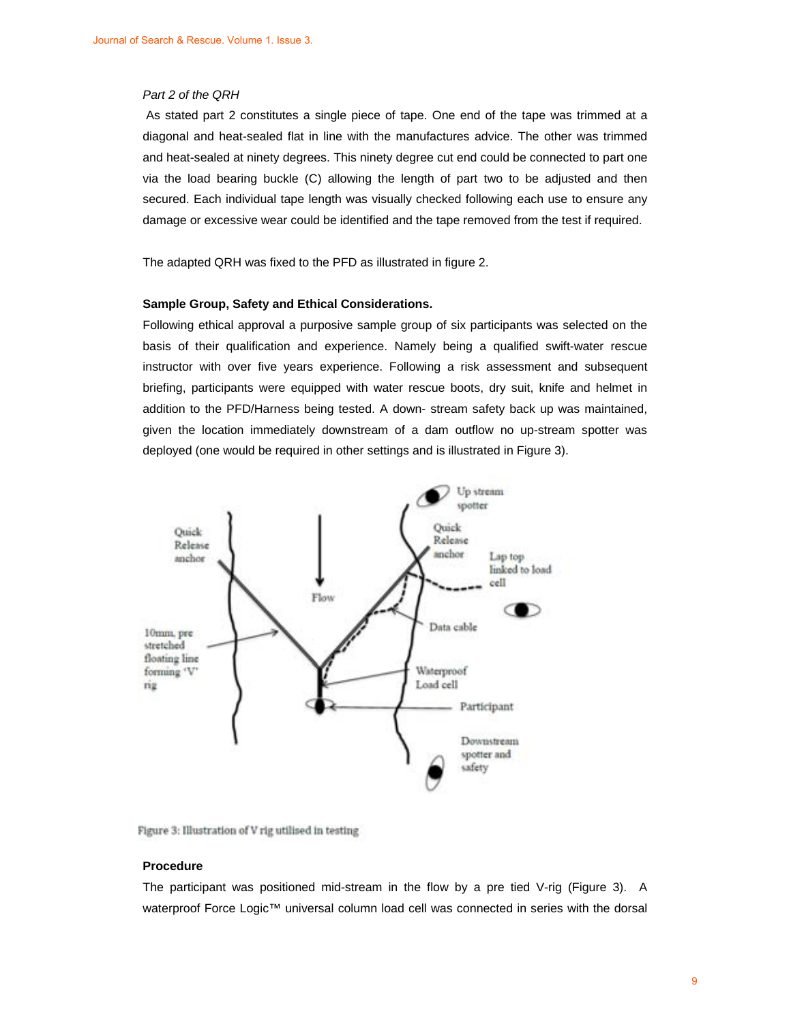#### *Part 2 of the QRH*

 As stated part 2 constitutes a single piece of tape. One end of the tape was trimmed at a diagonal and heat-sealed flat in line with the manufactures advice. The other was trimmed and heat-sealed at ninety degrees. This ninety degree cut end could be connected to part one via the load bearing buckle (C) allowing the length of part two to be adjusted and then secured. Each individual tape length was visually checked following each use to ensure any damage or excessive wear could be identified and the tape removed from the test if required.

The adapted QRH was fixed to the PFD as illustrated in figure 2.

#### **Sample Group, Safety and Ethical Considerations.**

Following ethical approval a purposive sample group of six participants was selected on the basis of their qualification and experience. Namely being a qualified swift-water rescue instructor with over five years experience. Following a risk assessment and subsequent briefing, participants were equipped with water rescue boots, dry suit, knife and helmet in addition to the PFD/Harness being tested. A down- stream safety back up was maintained, given the location immediately downstream of a dam outflow no up-stream spotter was deployed (one would be required in other settings and is illustrated in Figure 3).





#### **Procedure**

The participant was positioned mid-stream in the flow by a pre tied V-rig (Figure 3). A waterproof Force Logic™ universal column load cell was connected in series with the dorsal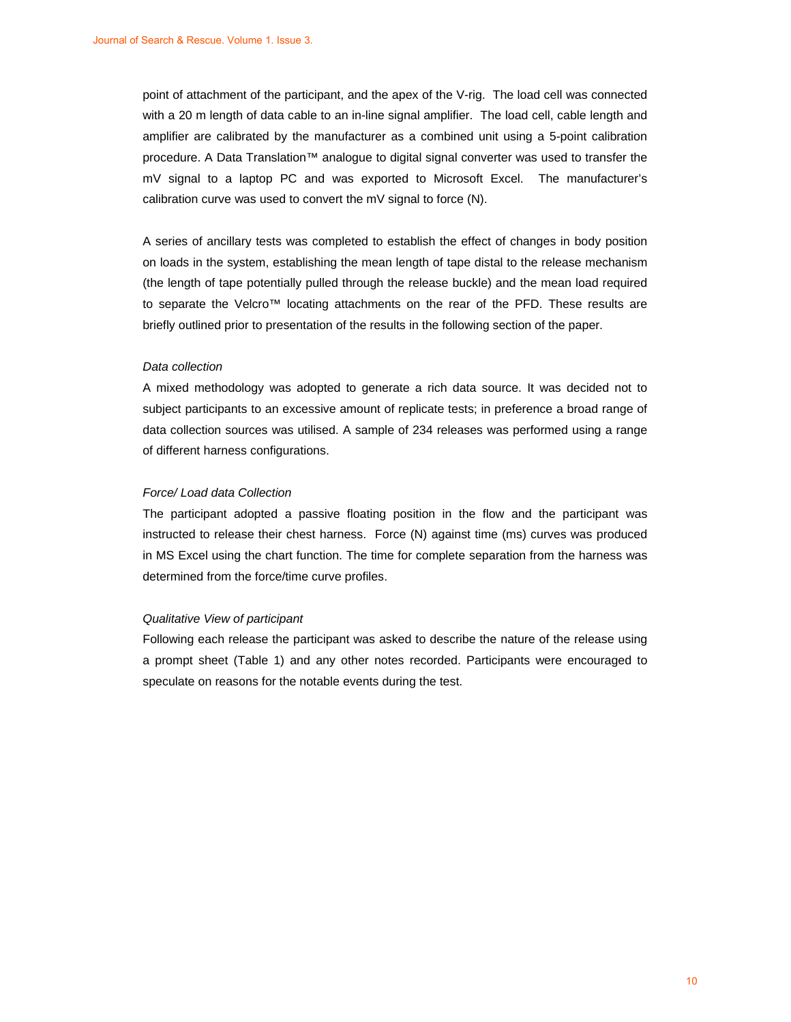point of attachment of the participant, and the apex of the V-rig. The load cell was connected with a 20 m length of data cable to an in-line signal amplifier. The load cell, cable length and amplifier are calibrated by the manufacturer as a combined unit using a 5-point calibration procedure. A Data Translation™ analogue to digital signal converter was used to transfer the mV signal to a laptop PC and was exported to Microsoft Excel. The manufacturer's calibration curve was used to convert the mV signal to force (N).

A series of ancillary tests was completed to establish the effect of changes in body position on loads in the system, establishing the mean length of tape distal to the release mechanism (the length of tape potentially pulled through the release buckle) and the mean load required to separate the Velcro™ locating attachments on the rear of the PFD. These results are briefly outlined prior to presentation of the results in the following section of the paper.

#### *Data collection*

A mixed methodology was adopted to generate a rich data source. It was decided not to subject participants to an excessive amount of replicate tests; in preference a broad range of data collection sources was utilised. A sample of 234 releases was performed using a range of different harness configurations.

#### *Force/ Load data Collection*

The participant adopted a passive floating position in the flow and the participant was instructed to release their chest harness. Force (N) against time (ms) curves was produced in MS Excel using the chart function. The time for complete separation from the harness was determined from the force/time curve profiles.

#### *Qualitative View of participant*

Following each release the participant was asked to describe the nature of the release using a prompt sheet (Table 1) and any other notes recorded. Participants were encouraged to speculate on reasons for the notable events during the test.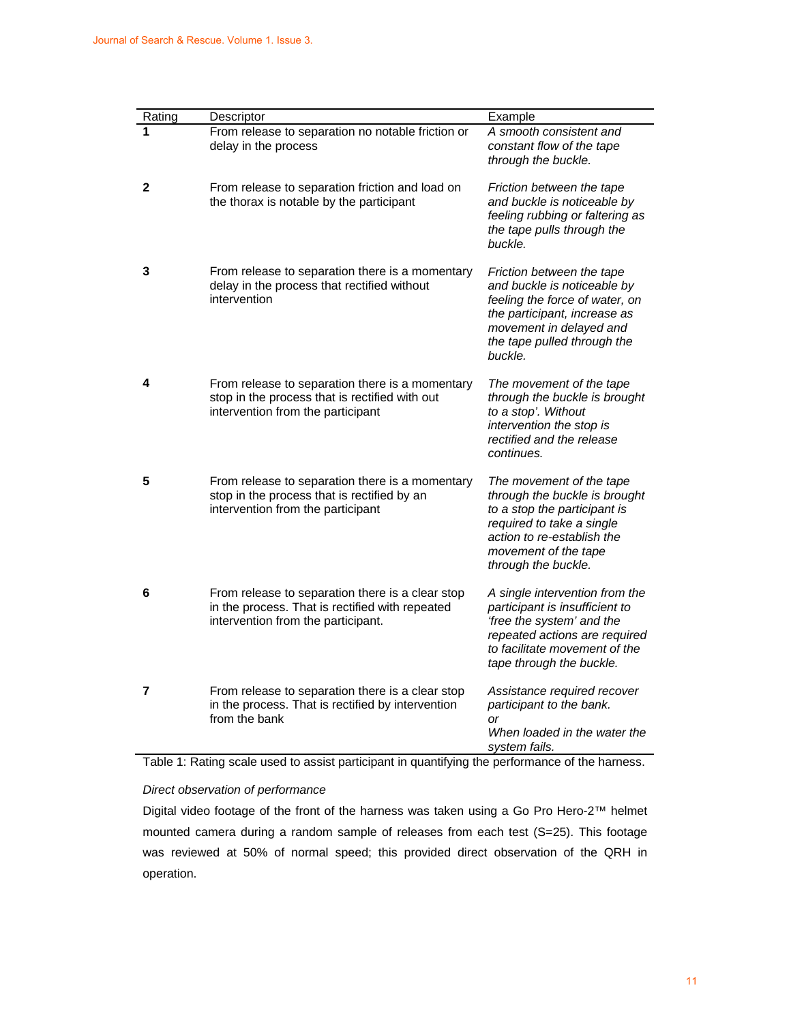| Rating | Descriptor                                                                                                                                | Example                                                                                                                                                                                             |
|--------|-------------------------------------------------------------------------------------------------------------------------------------------|-----------------------------------------------------------------------------------------------------------------------------------------------------------------------------------------------------|
| 1      | From release to separation no notable friction or<br>delay in the process                                                                 | A smooth consistent and<br>constant flow of the tape<br>through the buckle.                                                                                                                         |
| 2      | From release to separation friction and load on<br>the thorax is notable by the participant                                               | Friction between the tape<br>and buckle is noticeable by<br>feeling rubbing or faltering as<br>the tape pulls through the<br>buckle.                                                                |
| 3      | From release to separation there is a momentary<br>delay in the process that rectified without<br>intervention                            | Friction between the tape<br>and buckle is noticeable by<br>feeling the force of water, on<br>the participant, increase as<br>movement in delayed and<br>the tape pulled through the<br>buckle.     |
| 4      | From release to separation there is a momentary<br>stop in the process that is rectified with out<br>intervention from the participant    | The movement of the tape<br>through the buckle is brought<br>to a stop'. Without<br>intervention the stop is<br>rectified and the release<br>continues.                                             |
| 5      | From release to separation there is a momentary<br>stop in the process that is rectified by an<br>intervention from the participant       | The movement of the tape<br>through the buckle is brought<br>to a stop the participant is<br>required to take a single<br>action to re-establish the<br>movement of the tape<br>through the buckle. |
| 6      | From release to separation there is a clear stop<br>in the process. That is rectified with repeated<br>intervention from the participant. | A single intervention from the<br>participant is insufficient to<br>'free the system' and the<br>repeated actions are required<br>to facilitate movement of the<br>tape through the buckle.         |
| 7      | From release to separation there is a clear stop<br>in the process. That is rectified by intervention<br>from the bank                    | Assistance required recover<br>participant to the bank.<br>$\alpha$ r<br>When loaded in the water the<br>system fails.                                                                              |

Table 1: Rating scale used to assist participant in quantifying the performance of the harness.

#### *Direct observation of performance*

Digital video footage of the front of the harness was taken using a Go Pro Hero-2™ helmet mounted camera during a random sample of releases from each test (S=25). This footage was reviewed at 50% of normal speed; this provided direct observation of the QRH in operation.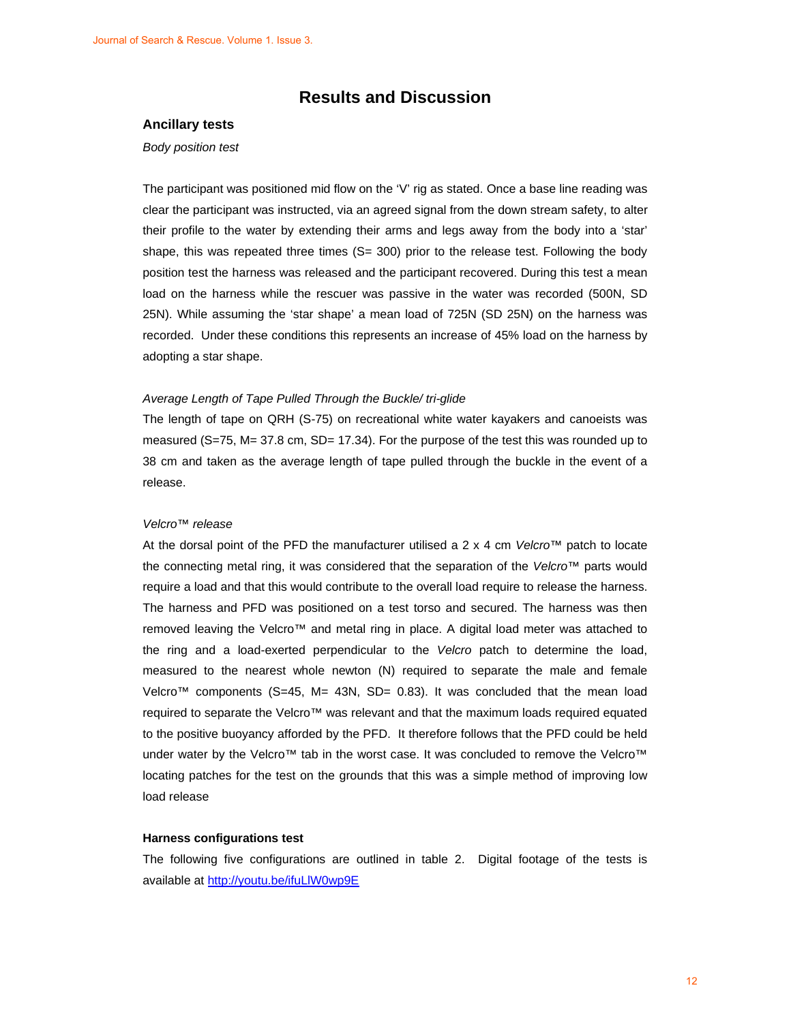### **Results and Discussion**

#### **Ancillary tests**

#### *Body position test*

The participant was positioned mid flow on the 'V' rig as stated. Once a base line reading was clear the participant was instructed, via an agreed signal from the down stream safety, to alter their profile to the water by extending their arms and legs away from the body into a 'star' shape, this was repeated three times  $(S= 300)$  prior to the release test. Following the body position test the harness was released and the participant recovered. During this test a mean load on the harness while the rescuer was passive in the water was recorded (500N, SD 25N). While assuming the 'star shape' a mean load of 725N (SD 25N) on the harness was recorded. Under these conditions this represents an increase of 45% load on the harness by adopting a star shape.

#### *Average Length of Tape Pulled Through the Buckle/ tri-glide*

The length of tape on QRH (S-75) on recreational white water kayakers and canoeists was measured (S=75, M= 37.8 cm, SD= 17.34). For the purpose of the test this was rounded up to 38 cm and taken as the average length of tape pulled through the buckle in the event of a release.

#### *Velcro*™ *release*

At the dorsal point of the PFD the manufacturer utilised a 2 x 4 cm *Velcro*™ patch to locate the connecting metal ring, it was considered that the separation of the *Velcro*™ parts would require a load and that this would contribute to the overall load require to release the harness. The harness and PFD was positioned on a test torso and secured. The harness was then removed leaving the Velcro™ and metal ring in place. A digital load meter was attached to the ring and a load-exerted perpendicular to the *Velcro* patch to determine the load, measured to the nearest whole newton (N) required to separate the male and female Velcro<sup>™</sup> components (S=45, M= 43N, SD= 0.83). It was concluded that the mean load required to separate the Velcro™ was relevant and that the maximum loads required equated to the positive buoyancy afforded by the PFD. It therefore follows that the PFD could be held under water by the Velcro™ tab in the worst case. It was concluded to remove the Velcro™ locating patches for the test on the grounds that this was a simple method of improving low load release

#### **Harness configurations test**

The following five configurations are outlined in table 2. Digital footage of the tests is available at http://youtu.be/ifuLlW0wp9E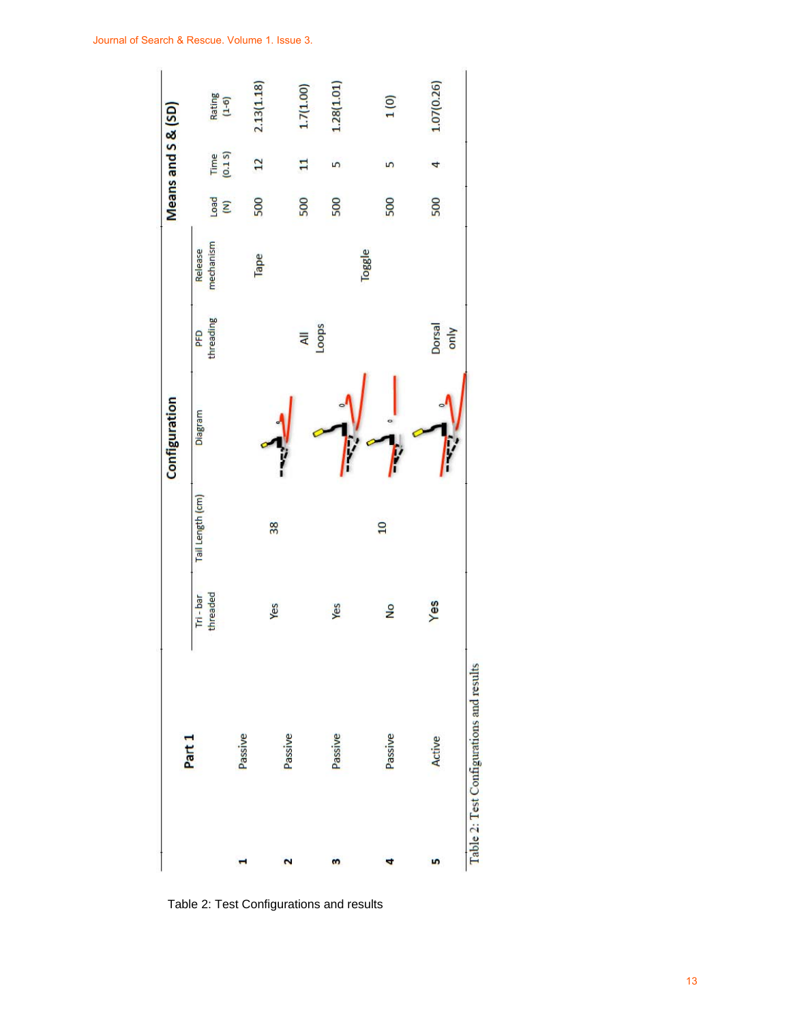

Table 2: Test Configurations and results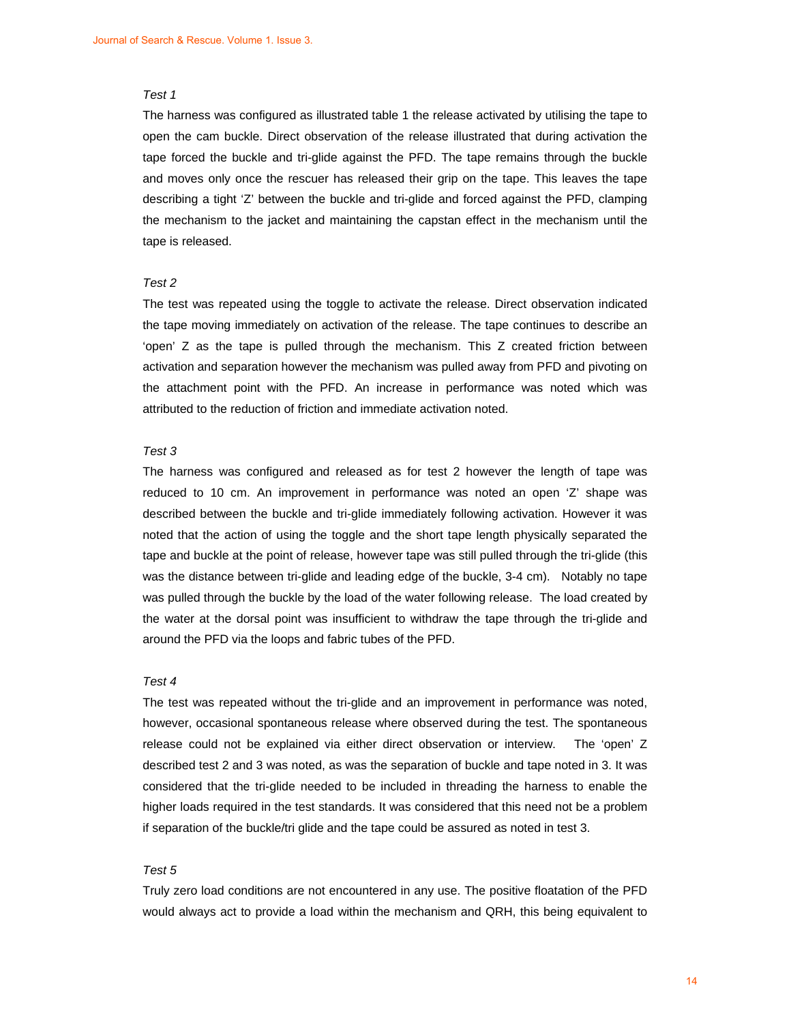#### *Test 1*

The harness was configured as illustrated table 1 the release activated by utilising the tape to open the cam buckle. Direct observation of the release illustrated that during activation the tape forced the buckle and tri-glide against the PFD. The tape remains through the buckle and moves only once the rescuer has released their grip on the tape. This leaves the tape describing a tight 'Z' between the buckle and tri-glide and forced against the PFD, clamping the mechanism to the jacket and maintaining the capstan effect in the mechanism until the tape is released.

#### *Test 2*

The test was repeated using the toggle to activate the release. Direct observation indicated the tape moving immediately on activation of the release. The tape continues to describe an 'open' Z as the tape is pulled through the mechanism. This Z created friction between activation and separation however the mechanism was pulled away from PFD and pivoting on the attachment point with the PFD. An increase in performance was noted which was attributed to the reduction of friction and immediate activation noted.

#### *Test 3*

The harness was configured and released as for test 2 however the length of tape was reduced to 10 cm. An improvement in performance was noted an open 'Z' shape was described between the buckle and tri-glide immediately following activation. However it was noted that the action of using the toggle and the short tape length physically separated the tape and buckle at the point of release, however tape was still pulled through the tri-glide (this was the distance between tri-glide and leading edge of the buckle, 3-4 cm). Notably no tape was pulled through the buckle by the load of the water following release. The load created by the water at the dorsal point was insufficient to withdraw the tape through the tri-glide and around the PFD via the loops and fabric tubes of the PFD.

#### *Test 4*

The test was repeated without the tri-glide and an improvement in performance was noted, however, occasional spontaneous release where observed during the test. The spontaneous release could not be explained via either direct observation or interview. The 'open' Z described test 2 and 3 was noted, as was the separation of buckle and tape noted in 3. It was considered that the tri-glide needed to be included in threading the harness to enable the higher loads required in the test standards. It was considered that this need not be a problem if separation of the buckle/tri glide and the tape could be assured as noted in test 3.

#### *Test 5*

Truly zero load conditions are not encountered in any use. The positive floatation of the PFD would always act to provide a load within the mechanism and QRH, this being equivalent to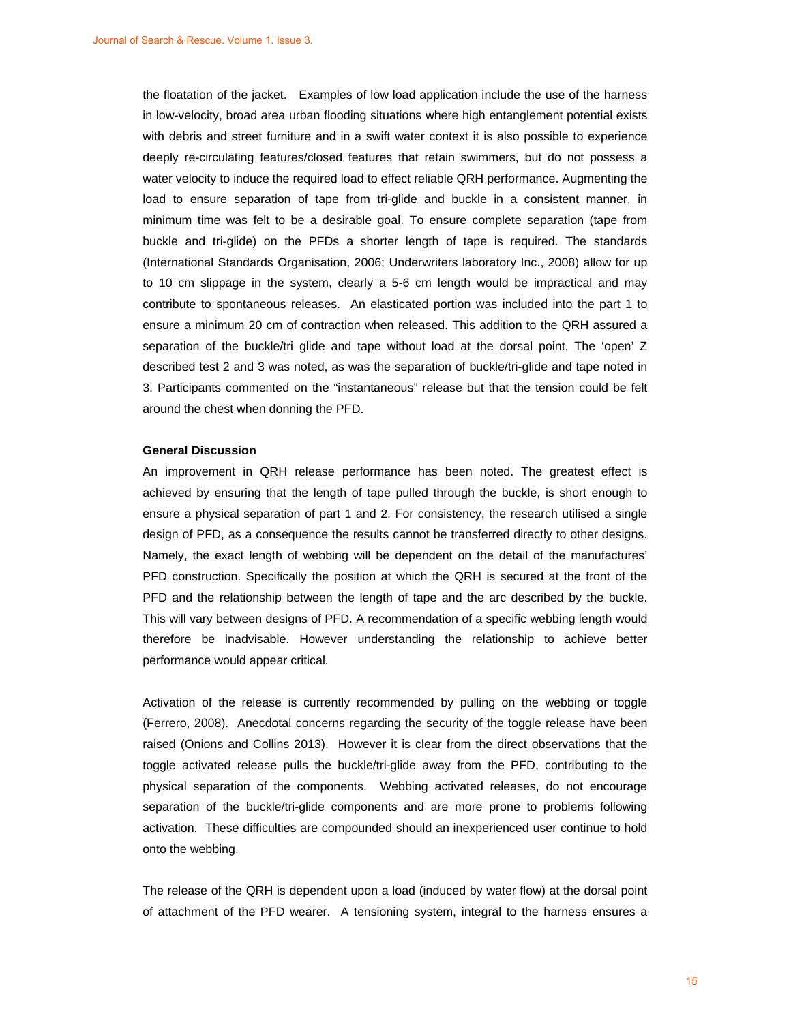the floatation of the jacket. Examples of low load application include the use of the harness in low-velocity, broad area urban flooding situations where high entanglement potential exists with debris and street furniture and in a swift water context it is also possible to experience deeply re-circulating features/closed features that retain swimmers, but do not possess a water velocity to induce the required load to effect reliable QRH performance. Augmenting the load to ensure separation of tape from tri-glide and buckle in a consistent manner, in minimum time was felt to be a desirable goal. To ensure complete separation (tape from buckle and tri-glide) on the PFDs a shorter length of tape is required. The standards (International Standards Organisation, 2006; Underwriters laboratory Inc., 2008) allow for up to 10 cm slippage in the system, clearly a 5-6 cm length would be impractical and may contribute to spontaneous releases. An elasticated portion was included into the part 1 to ensure a minimum 20 cm of contraction when released. This addition to the QRH assured a separation of the buckle/tri glide and tape without load at the dorsal point. The 'open' Z described test 2 and 3 was noted, as was the separation of buckle/tri-glide and tape noted in 3. Participants commented on the "instantaneous" release but that the tension could be felt around the chest when donning the PFD.

#### **General Discussion**

An improvement in QRH release performance has been noted. The greatest effect is achieved by ensuring that the length of tape pulled through the buckle, is short enough to ensure a physical separation of part 1 and 2. For consistency, the research utilised a single design of PFD, as a consequence the results cannot be transferred directly to other designs. Namely, the exact length of webbing will be dependent on the detail of the manufactures' PFD construction. Specifically the position at which the QRH is secured at the front of the PFD and the relationship between the length of tape and the arc described by the buckle. This will vary between designs of PFD. A recommendation of a specific webbing length would therefore be inadvisable. However understanding the relationship to achieve better performance would appear critical.

Activation of the release is currently recommended by pulling on the webbing or toggle (Ferrero, 2008). Anecdotal concerns regarding the security of the toggle release have been raised (Onions and Collins 2013). However it is clear from the direct observations that the toggle activated release pulls the buckle/tri-glide away from the PFD, contributing to the physical separation of the components. Webbing activated releases, do not encourage separation of the buckle/tri-glide components and are more prone to problems following activation. These difficulties are compounded should an inexperienced user continue to hold onto the webbing.

The release of the QRH is dependent upon a load (induced by water flow) at the dorsal point of attachment of the PFD wearer. A tensioning system, integral to the harness ensures a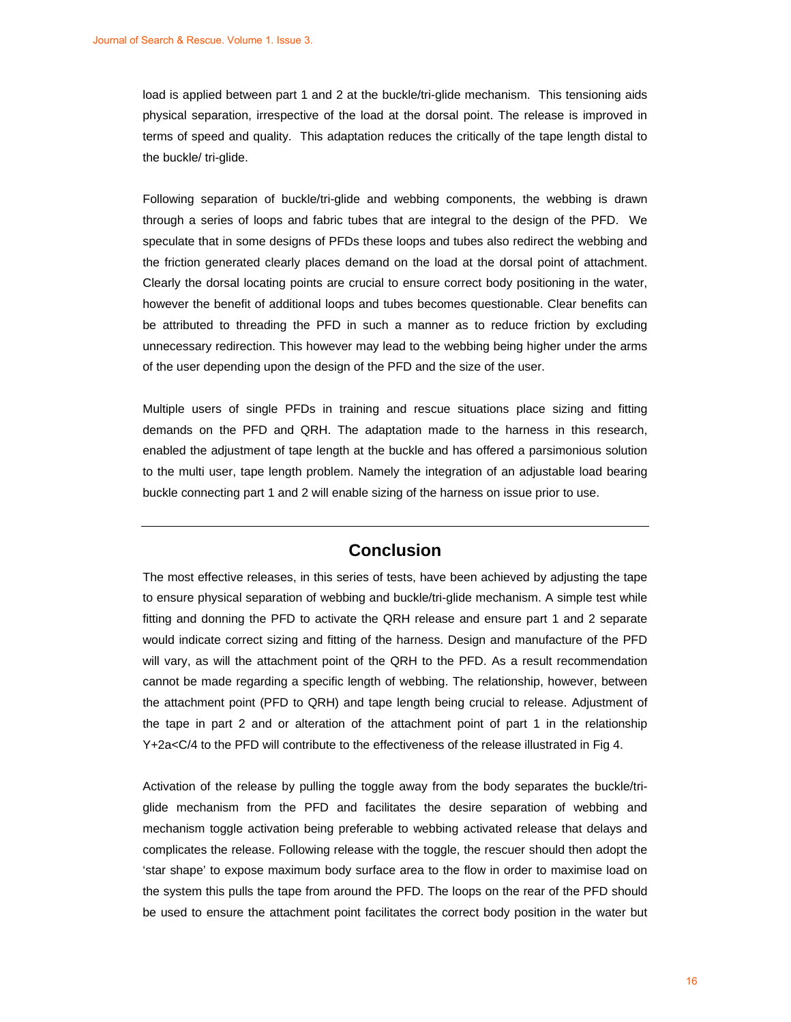load is applied between part 1 and 2 at the buckle/tri-glide mechanism. This tensioning aids physical separation, irrespective of the load at the dorsal point. The release is improved in terms of speed and quality. This adaptation reduces the critically of the tape length distal to the buckle/ tri-glide.

Following separation of buckle/tri-glide and webbing components, the webbing is drawn through a series of loops and fabric tubes that are integral to the design of the PFD. We speculate that in some designs of PFDs these loops and tubes also redirect the webbing and the friction generated clearly places demand on the load at the dorsal point of attachment. Clearly the dorsal locating points are crucial to ensure correct body positioning in the water, however the benefit of additional loops and tubes becomes questionable. Clear benefits can be attributed to threading the PFD in such a manner as to reduce friction by excluding unnecessary redirection. This however may lead to the webbing being higher under the arms of the user depending upon the design of the PFD and the size of the user.

Multiple users of single PFDs in training and rescue situations place sizing and fitting demands on the PFD and QRH. The adaptation made to the harness in this research, enabled the adjustment of tape length at the buckle and has offered a parsimonious solution to the multi user, tape length problem. Namely the integration of an adjustable load bearing buckle connecting part 1 and 2 will enable sizing of the harness on issue prior to use.

### **Conclusion**

The most effective releases, in this series of tests, have been achieved by adjusting the tape to ensure physical separation of webbing and buckle/tri-glide mechanism. A simple test while fitting and donning the PFD to activate the QRH release and ensure part 1 and 2 separate would indicate correct sizing and fitting of the harness. Design and manufacture of the PFD will vary, as will the attachment point of the QRH to the PFD. As a result recommendation cannot be made regarding a specific length of webbing. The relationship, however, between the attachment point (PFD to QRH) and tape length being crucial to release. Adjustment of the tape in part 2 and or alteration of the attachment point of part 1 in the relationship Y+2a<C/4 to the PFD will contribute to the effectiveness of the release illustrated in Fig 4.

Activation of the release by pulling the toggle away from the body separates the buckle/triglide mechanism from the PFD and facilitates the desire separation of webbing and mechanism toggle activation being preferable to webbing activated release that delays and complicates the release. Following release with the toggle, the rescuer should then adopt the 'star shape' to expose maximum body surface area to the flow in order to maximise load on the system this pulls the tape from around the PFD. The loops on the rear of the PFD should be used to ensure the attachment point facilitates the correct body position in the water but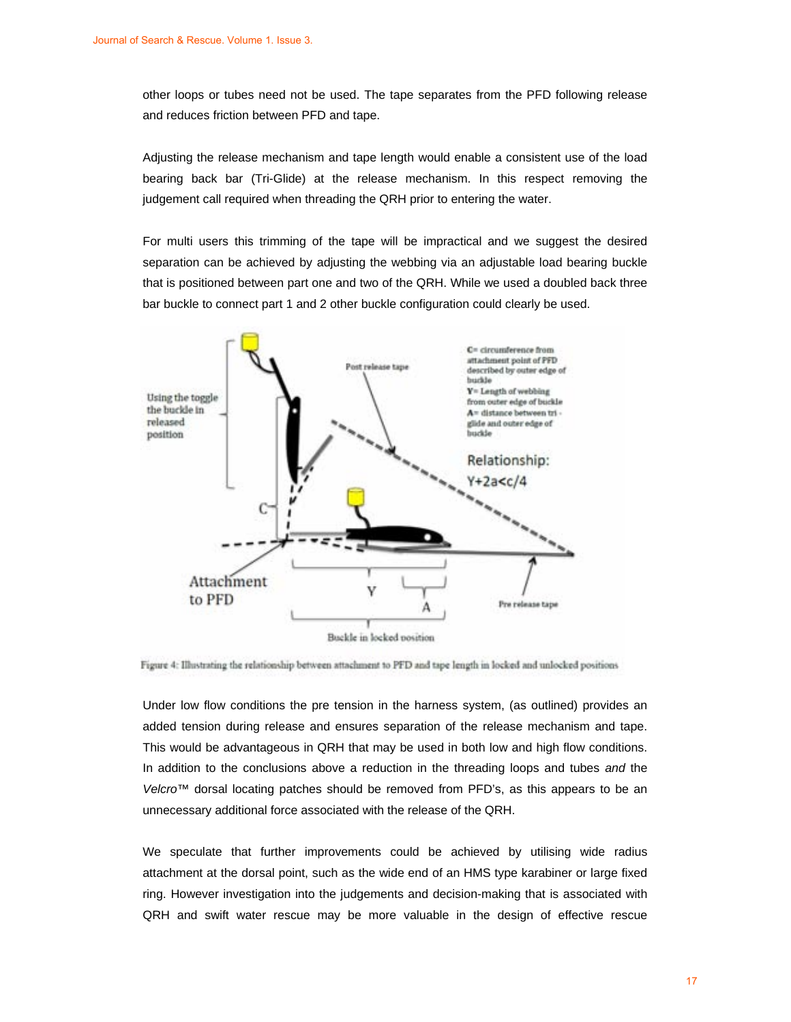other loops or tubes need not be used. The tape separates from the PFD following release and reduces friction between PFD and tape.

Adjusting the release mechanism and tape length would enable a consistent use of the load bearing back bar (Tri-Glide) at the release mechanism. In this respect removing the judgement call required when threading the QRH prior to entering the water.

For multi users this trimming of the tape will be impractical and we suggest the desired separation can be achieved by adjusting the webbing via an adjustable load bearing buckle that is positioned between part one and two of the QRH. While we used a doubled back three bar buckle to connect part 1 and 2 other buckle configuration could clearly be used.



Figure 4: Illustrating the relationship between attachment to PFD and tape length in locked and unlocked positions

Under low flow conditions the pre tension in the harness system, (as outlined) provides an added tension during release and ensures separation of the release mechanism and tape. This would be advantageous in QRH that may be used in both low and high flow conditions. In addition to the conclusions above a reduction in the threading loops and tubes *and* the *Velcro*™ dorsal locating patches should be removed from PFD's, as this appears to be an unnecessary additional force associated with the release of the QRH.

We speculate that further improvements could be achieved by utilising wide radius attachment at the dorsal point, such as the wide end of an HMS type karabiner or large fixed ring. However investigation into the judgements and decision-making that is associated with QRH and swift water rescue may be more valuable in the design of effective rescue

17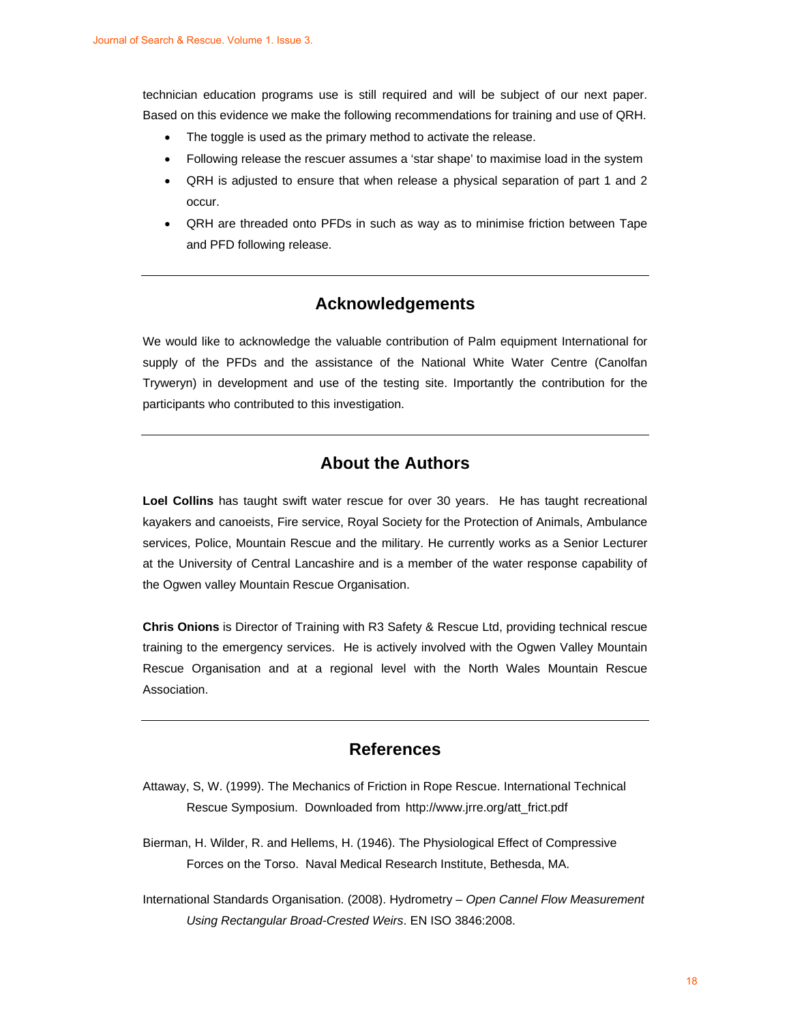technician education programs use is still required and will be subject of our next paper. Based on this evidence we make the following recommendations for training and use of QRH.

- The toggle is used as the primary method to activate the release.
- Following release the rescuer assumes a 'star shape' to maximise load in the system
- QRH is adjusted to ensure that when release a physical separation of part 1 and 2 occur.
- QRH are threaded onto PFDs in such as way as to minimise friction between Tape and PFD following release.

### **Acknowledgements**

We would like to acknowledge the valuable contribution of Palm equipment International for supply of the PFDs and the assistance of the National White Water Centre (Canolfan Tryweryn) in development and use of the testing site. Importantly the contribution for the participants who contributed to this investigation.

# **About the Authors**

**Loel Collins** has taught swift water rescue for over 30 years. He has taught recreational kayakers and canoeists, Fire service, Royal Society for the Protection of Animals, Ambulance services, Police, Mountain Rescue and the military. He currently works as a Senior Lecturer at the University of Central Lancashire and is a member of the water response capability of the Ogwen valley Mountain Rescue Organisation.

**Chris Onions** is Director of Training with R3 Safety & Rescue Ltd, providing technical rescue training to the emergency services. He is actively involved with the Ogwen Valley Mountain Rescue Organisation and at a regional level with the North Wales Mountain Rescue Association.

# **References**

- Attaway, S, W. (1999). The Mechanics of Friction in Rope Rescue. International Technical Rescue Symposium. Downloaded from http://www.jrre.org/att\_frict.pdf
- Bierman, H. Wilder, R. and Hellems, H. (1946). The Physiological Effect of Compressive Forces on the Torso. Naval Medical Research Institute, Bethesda, MA.
- International Standards Organisation. (2008). Hydrometry – *Open Cannel Flow Measurement Using Rectangular Broad-Crested Weirs*. EN ISO 3846:2008.